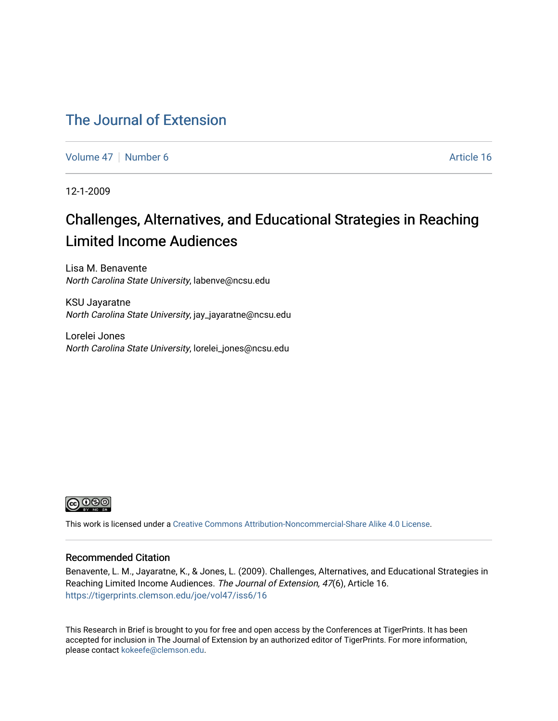### [The Journal of Extension](https://tigerprints.clemson.edu/joe)

[Volume 47](https://tigerprints.clemson.edu/joe/vol47) | [Number 6](https://tigerprints.clemson.edu/joe/vol47/iss6) Article 16

12-1-2009

## Challenges, Alternatives, and Educational Strategies in Reaching Limited Income Audiences

Lisa M. Benavente North Carolina State University, labenve@ncsu.edu

KSU Jayaratne North Carolina State University, jay\_jayaratne@ncsu.edu

Lorelei Jones North Carolina State University, lorelei\_jones@ncsu.edu



This work is licensed under a [Creative Commons Attribution-Noncommercial-Share Alike 4.0 License.](https://creativecommons.org/licenses/by-nc-sa/4.0/)

#### Recommended Citation

Benavente, L. M., Jayaratne, K., & Jones, L. (2009). Challenges, Alternatives, and Educational Strategies in Reaching Limited Income Audiences. The Journal of Extension, 47(6), Article 16. <https://tigerprints.clemson.edu/joe/vol47/iss6/16>

This Research in Brief is brought to you for free and open access by the Conferences at TigerPrints. It has been accepted for inclusion in The Journal of Extension by an authorized editor of TigerPrints. For more information, please contact [kokeefe@clemson.edu](mailto:kokeefe@clemson.edu).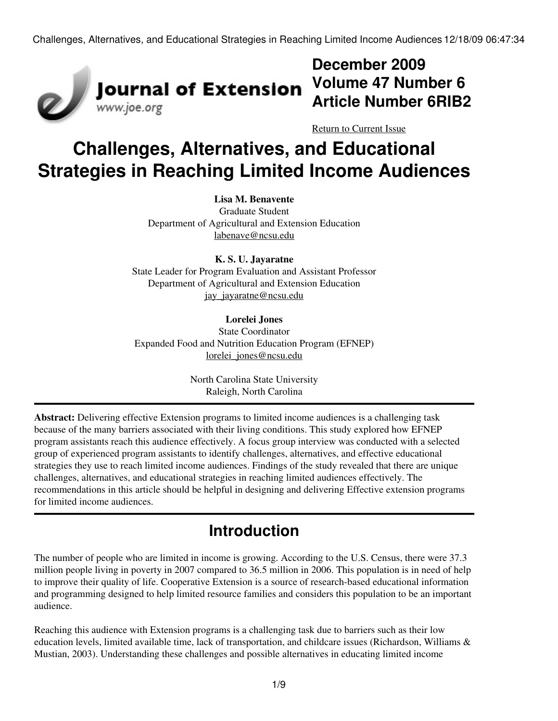

## **December 2009 Volume 47 Number 6 Article Number 6RIB2**

[Return to Current Issue](http://www.joe.org:80/joe/2009december/)

# **Challenges, Alternatives, and Educational Strategies in Reaching Limited Income Audiences**

#### **Lisa M. Benavente**

Graduate Student Department of Agricultural and Extension Education [labenave@ncsu.edu](mailto:labenave@ncsu.edu)

**K. S. U. Jayaratne** State Leader for Program Evaluation and Assistant Professor Department of Agricultural and Extension Education [jay\\_jayaratne@ncsu.edu](mailto:jay_jayaratne@ncsu.edu)

#### **Lorelei Jones**

State Coordinator Expanded Food and Nutrition Education Program (EFNEP) lorelei jones@ncsu.edu

> North Carolina State University Raleigh, North Carolina

**Abstract:** Delivering effective Extension programs to limited income audiences is a challenging task because of the many barriers associated with their living conditions. This study explored how EFNEP program assistants reach this audience effectively. A focus group interview was conducted with a selected group of experienced program assistants to identify challenges, alternatives, and effective educational strategies they use to reach limited income audiences. Findings of the study revealed that there are unique challenges, alternatives, and educational strategies in reaching limited audiences effectively. The recommendations in this article should be helpful in designing and delivering Effective extension programs for limited income audiences.

## **Introduction**

The number of people who are limited in income is growing. According to the U.S. Census, there were 37.3 million people living in poverty in 2007 compared to 36.5 million in 2006. This population is in need of help to improve their quality of life. Cooperative Extension is a source of research-based educational information and programming designed to help limited resource families and considers this population to be an important audience.

Reaching this audience with Extension programs is a challenging task due to barriers such as their low education levels, limited available time, lack of transportation, and childcare issues (Richardson, Williams & Mustian, 2003). Understanding these challenges and possible alternatives in educating limited income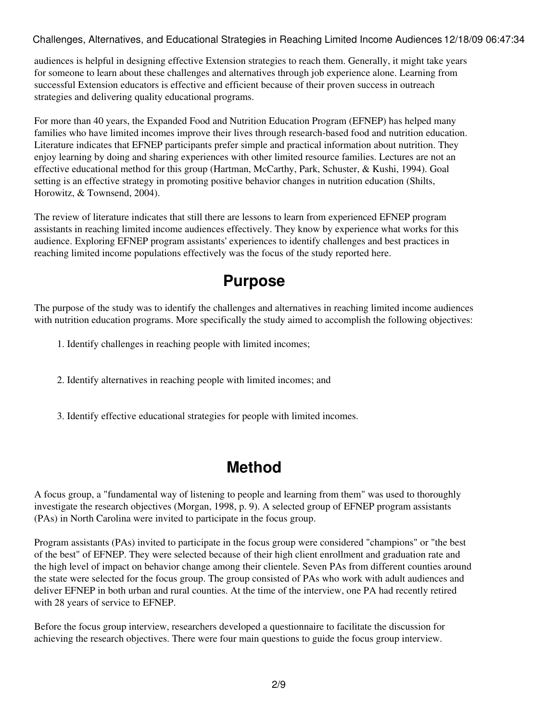audiences is helpful in designing effective Extension strategies to reach them. Generally, it might take years for someone to learn about these challenges and alternatives through job experience alone. Learning from successful Extension educators is effective and efficient because of their proven success in outreach strategies and delivering quality educational programs.

For more than 40 years, the Expanded Food and Nutrition Education Program (EFNEP) has helped many families who have limited incomes improve their lives through research-based food and nutrition education. Literature indicates that EFNEP participants prefer simple and practical information about nutrition. They enjoy learning by doing and sharing experiences with other limited resource families. Lectures are not an effective educational method for this group (Hartman, McCarthy, Park, Schuster, & Kushi, 1994). Goal setting is an effective strategy in promoting positive behavior changes in nutrition education (Shilts, Horowitz, & Townsend, 2004).

The review of literature indicates that still there are lessons to learn from experienced EFNEP program assistants in reaching limited income audiences effectively. They know by experience what works for this audience. Exploring EFNEP program assistants' experiences to identify challenges and best practices in reaching limited income populations effectively was the focus of the study reported here.

### **Purpose**

The purpose of the study was to identify the challenges and alternatives in reaching limited income audiences with nutrition education programs. More specifically the study aimed to accomplish the following objectives:

- 1. Identify challenges in reaching people with limited incomes;
- 2. Identify alternatives in reaching people with limited incomes; and
- 3. Identify effective educational strategies for people with limited incomes.

## **Method**

A focus group, a "fundamental way of listening to people and learning from them" was used to thoroughly investigate the research objectives (Morgan, 1998, p. 9). A selected group of EFNEP program assistants (PAs) in North Carolina were invited to participate in the focus group.

Program assistants (PAs) invited to participate in the focus group were considered "champions" or "the best of the best" of EFNEP. They were selected because of their high client enrollment and graduation rate and the high level of impact on behavior change among their clientele. Seven PAs from different counties around the state were selected for the focus group. The group consisted of PAs who work with adult audiences and deliver EFNEP in both urban and rural counties. At the time of the interview, one PA had recently retired with 28 years of service to EFNEP.

Before the focus group interview, researchers developed a questionnaire to facilitate the discussion for achieving the research objectives. There were four main questions to guide the focus group interview.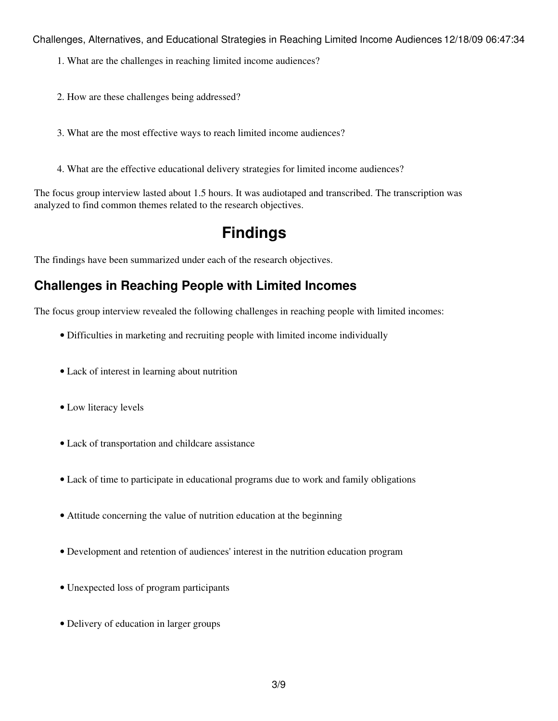- 1. What are the challenges in reaching limited income audiences?
- 2. How are these challenges being addressed?
- 3. What are the most effective ways to reach limited income audiences?
- 4. What are the effective educational delivery strategies for limited income audiences?

The focus group interview lasted about 1.5 hours. It was audiotaped and transcribed. The transcription was analyzed to find common themes related to the research objectives.

## **Findings**

The findings have been summarized under each of the research objectives.

### **Challenges in Reaching People with Limited Incomes**

The focus group interview revealed the following challenges in reaching people with limited incomes:

- Difficulties in marketing and recruiting people with limited income individually
- Lack of interest in learning about nutrition
- Low literacy levels
- Lack of transportation and childcare assistance
- Lack of time to participate in educational programs due to work and family obligations
- Attitude concerning the value of nutrition education at the beginning
- Development and retention of audiences' interest in the nutrition education program
- Unexpected loss of program participants
- Delivery of education in larger groups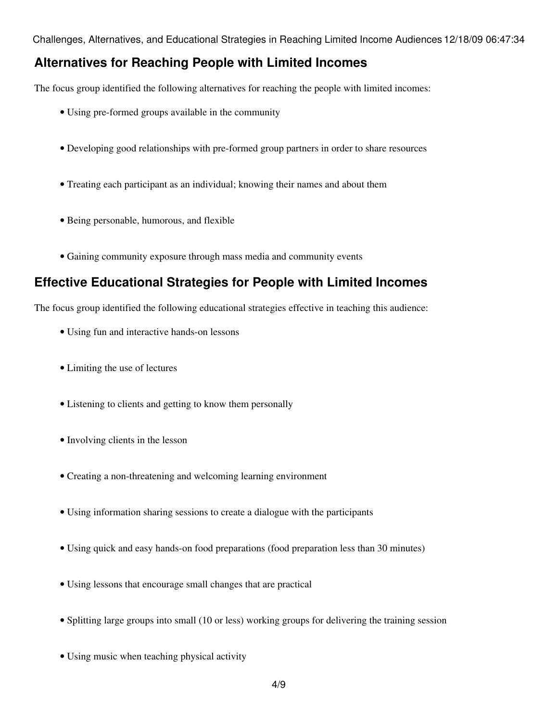#### **Alternatives for Reaching People with Limited Incomes**

The focus group identified the following alternatives for reaching the people with limited incomes:

- Using pre-formed groups available in the community
- Developing good relationships with pre-formed group partners in order to share resources
- Treating each participant as an individual; knowing their names and about them
- Being personable, humorous, and flexible
- Gaining community exposure through mass media and community events

### **Effective Educational Strategies for People with Limited Incomes**

The focus group identified the following educational strategies effective in teaching this audience:

- Using fun and interactive hands-on lessons
- Limiting the use of lectures
- Listening to clients and getting to know them personally
- Involving clients in the lesson
- Creating a non-threatening and welcoming learning environment
- Using information sharing sessions to create a dialogue with the participants
- Using quick and easy hands-on food preparations (food preparation less than 30 minutes)
- Using lessons that encourage small changes that are practical
- Splitting large groups into small (10 or less) working groups for delivering the training session
- Using music when teaching physical activity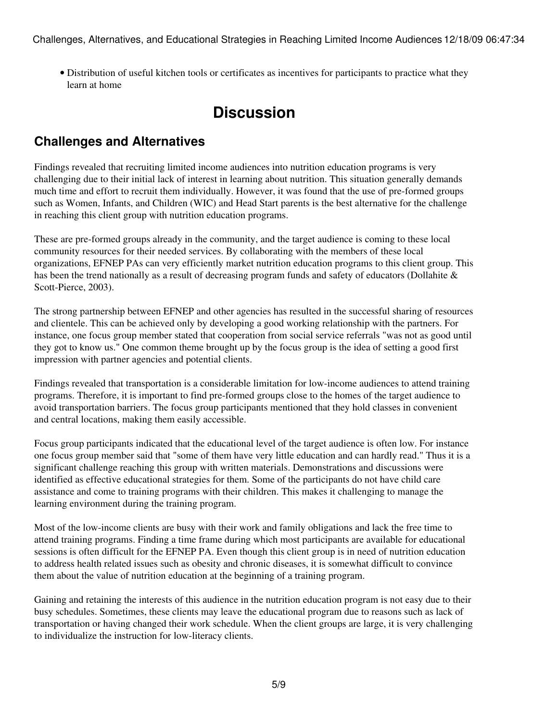Distribution of useful kitchen tools or certificates as incentives for participants to practice what they • learn at home

### **Discussion**

### **Challenges and Alternatives**

Findings revealed that recruiting limited income audiences into nutrition education programs is very challenging due to their initial lack of interest in learning about nutrition. This situation generally demands much time and effort to recruit them individually. However, it was found that the use of pre-formed groups such as Women, Infants, and Children (WIC) and Head Start parents is the best alternative for the challenge in reaching this client group with nutrition education programs.

These are pre-formed groups already in the community, and the target audience is coming to these local community resources for their needed services. By collaborating with the members of these local organizations, EFNEP PAs can very efficiently market nutrition education programs to this client group. This has been the trend nationally as a result of decreasing program funds and safety of educators (Dollahite & Scott-Pierce, 2003).

The strong partnership between EFNEP and other agencies has resulted in the successful sharing of resources and clientele. This can be achieved only by developing a good working relationship with the partners. For instance, one focus group member stated that cooperation from social service referrals "was not as good until they got to know us." One common theme brought up by the focus group is the idea of setting a good first impression with partner agencies and potential clients.

Findings revealed that transportation is a considerable limitation for low-income audiences to attend training programs. Therefore, it is important to find pre-formed groups close to the homes of the target audience to avoid transportation barriers. The focus group participants mentioned that they hold classes in convenient and central locations, making them easily accessible.

Focus group participants indicated that the educational level of the target audience is often low. For instance one focus group member said that "some of them have very little education and can hardly read." Thus it is a significant challenge reaching this group with written materials. Demonstrations and discussions were identified as effective educational strategies for them. Some of the participants do not have child care assistance and come to training programs with their children. This makes it challenging to manage the learning environment during the training program.

Most of the low-income clients are busy with their work and family obligations and lack the free time to attend training programs. Finding a time frame during which most participants are available for educational sessions is often difficult for the EFNEP PA. Even though this client group is in need of nutrition education to address health related issues such as obesity and chronic diseases, it is somewhat difficult to convince them about the value of nutrition education at the beginning of a training program.

Gaining and retaining the interests of this audience in the nutrition education program is not easy due to their busy schedules. Sometimes, these clients may leave the educational program due to reasons such as lack of transportation or having changed their work schedule. When the client groups are large, it is very challenging to individualize the instruction for low-literacy clients.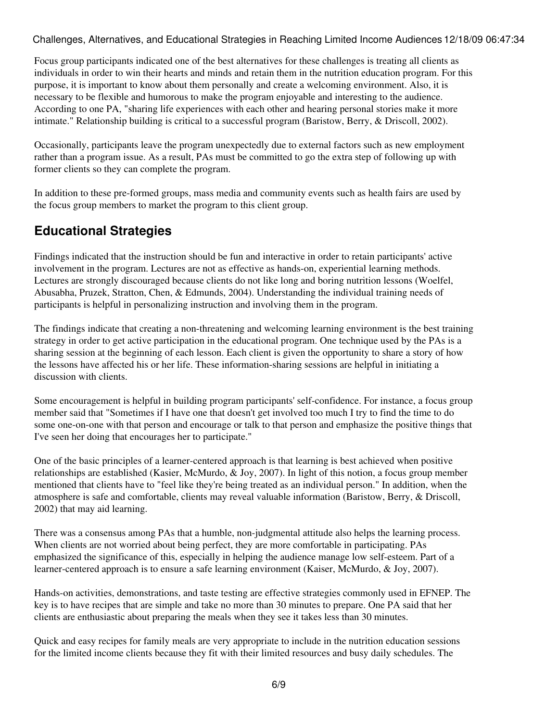Focus group participants indicated one of the best alternatives for these challenges is treating all clients as individuals in order to win their hearts and minds and retain them in the nutrition education program. For this purpose, it is important to know about them personally and create a welcoming environment. Also, it is necessary to be flexible and humorous to make the program enjoyable and interesting to the audience. According to one PA, "sharing life experiences with each other and hearing personal stories make it more intimate." Relationship building is critical to a successful program (Baristow, Berry, & Driscoll, 2002).

Occasionally, participants leave the program unexpectedly due to external factors such as new employment rather than a program issue. As a result, PAs must be committed to go the extra step of following up with former clients so they can complete the program.

In addition to these pre-formed groups, mass media and community events such as health fairs are used by the focus group members to market the program to this client group.

### **Educational Strategies**

Findings indicated that the instruction should be fun and interactive in order to retain participants' active involvement in the program. Lectures are not as effective as hands-on, experiential learning methods. Lectures are strongly discouraged because clients do not like long and boring nutrition lessons (Woelfel, Abusabha, Pruzek, Stratton, Chen, & Edmunds, 2004). Understanding the individual training needs of participants is helpful in personalizing instruction and involving them in the program.

The findings indicate that creating a non-threatening and welcoming learning environment is the best training strategy in order to get active participation in the educational program. One technique used by the PAs is a sharing session at the beginning of each lesson. Each client is given the opportunity to share a story of how the lessons have affected his or her life. These information-sharing sessions are helpful in initiating a discussion with clients.

Some encouragement is helpful in building program participants' self-confidence. For instance, a focus group member said that "Sometimes if I have one that doesn't get involved too much I try to find the time to do some one-on-one with that person and encourage or talk to that person and emphasize the positive things that I've seen her doing that encourages her to participate."

One of the basic principles of a learner-centered approach is that learning is best achieved when positive relationships are established (Kasier, McMurdo, & Joy, 2007). In light of this notion, a focus group member mentioned that clients have to "feel like they're being treated as an individual person." In addition, when the atmosphere is safe and comfortable, clients may reveal valuable information (Baristow, Berry, & Driscoll, 2002) that may aid learning.

There was a consensus among PAs that a humble, non-judgmental attitude also helps the learning process. When clients are not worried about being perfect, they are more comfortable in participating. PAs emphasized the significance of this, especially in helping the audience manage low self-esteem. Part of a learner-centered approach is to ensure a safe learning environment (Kaiser, McMurdo, & Joy, 2007).

Hands-on activities, demonstrations, and taste testing are effective strategies commonly used in EFNEP. The key is to have recipes that are simple and take no more than 30 minutes to prepare. One PA said that her clients are enthusiastic about preparing the meals when they see it takes less than 30 minutes.

Quick and easy recipes for family meals are very appropriate to include in the nutrition education sessions for the limited income clients because they fit with their limited resources and busy daily schedules. The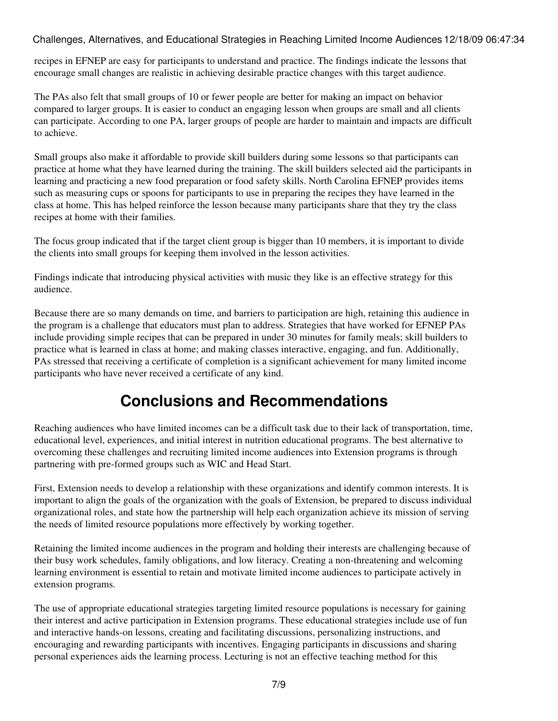recipes in EFNEP are easy for participants to understand and practice. The findings indicate the lessons that encourage small changes are realistic in achieving desirable practice changes with this target audience.

The PAs also felt that small groups of 10 or fewer people are better for making an impact on behavior compared to larger groups. It is easier to conduct an engaging lesson when groups are small and all clients can participate. According to one PA, larger groups of people are harder to maintain and impacts are difficult to achieve.

Small groups also make it affordable to provide skill builders during some lessons so that participants can practice at home what they have learned during the training. The skill builders selected aid the participants in learning and practicing a new food preparation or food safety skills. North Carolina EFNEP provides items such as measuring cups or spoons for participants to use in preparing the recipes they have learned in the class at home. This has helped reinforce the lesson because many participants share that they try the class recipes at home with their families.

The focus group indicated that if the target client group is bigger than 10 members, it is important to divide the clients into small groups for keeping them involved in the lesson activities.

Findings indicate that introducing physical activities with music they like is an effective strategy for this audience.

Because there are so many demands on time, and barriers to participation are high, retaining this audience in the program is a challenge that educators must plan to address. Strategies that have worked for EFNEP PAs include providing simple recipes that can be prepared in under 30 minutes for family meals; skill builders to practice what is learned in class at home; and making classes interactive, engaging, and fun. Additionally, PAs stressed that receiving a certificate of completion is a significant achievement for many limited income participants who have never received a certificate of any kind.

## **Conclusions and Recommendations**

Reaching audiences who have limited incomes can be a difficult task due to their lack of transportation, time, educational level, experiences, and initial interest in nutrition educational programs. The best alternative to overcoming these challenges and recruiting limited income audiences into Extension programs is through partnering with pre-formed groups such as WIC and Head Start.

First, Extension needs to develop a relationship with these organizations and identify common interests. It is important to align the goals of the organization with the goals of Extension, be prepared to discuss individual organizational roles, and state how the partnership will help each organization achieve its mission of serving the needs of limited resource populations more effectively by working together.

Retaining the limited income audiences in the program and holding their interests are challenging because of their busy work schedules, family obligations, and low literacy. Creating a non-threatening and welcoming learning environment is essential to retain and motivate limited income audiences to participate actively in extension programs.

The use of appropriate educational strategies targeting limited resource populations is necessary for gaining their interest and active participation in Extension programs. These educational strategies include use of fun and interactive hands-on lessons, creating and facilitating discussions, personalizing instructions, and encouraging and rewarding participants with incentives. Engaging participants in discussions and sharing personal experiences aids the learning process. Lecturing is not an effective teaching method for this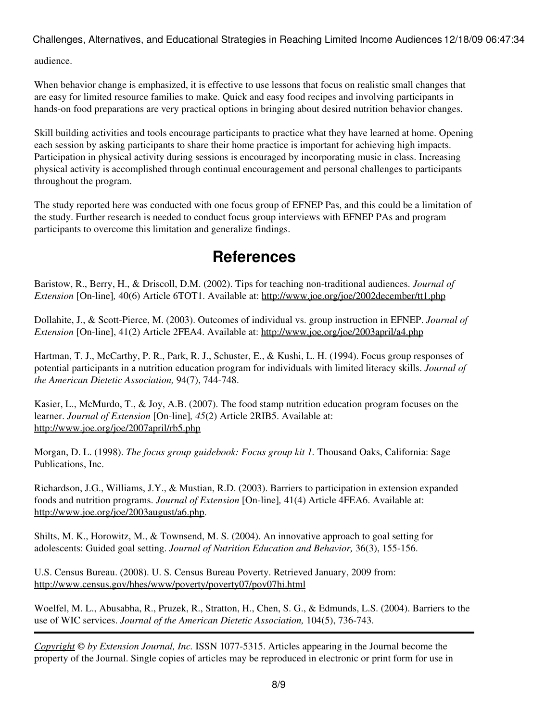audience.

When behavior change is emphasized, it is effective to use lessons that focus on realistic small changes that are easy for limited resource families to make. Quick and easy food recipes and involving participants in hands-on food preparations are very practical options in bringing about desired nutrition behavior changes.

Skill building activities and tools encourage participants to practice what they have learned at home. Opening each session by asking participants to share their home practice is important for achieving high impacts. Participation in physical activity during sessions is encouraged by incorporating music in class. Increasing physical activity is accomplished through continual encouragement and personal challenges to participants throughout the program.

The study reported here was conducted with one focus group of EFNEP Pas, and this could be a limitation of the study. Further research is needed to conduct focus group interviews with EFNEP PAs and program participants to overcome this limitation and generalize findings.

### **References**

Baristow, R., Berry, H., & Driscoll, D.M. (2002). Tips for teaching non-traditional audiences. *Journal of Extension* [On-line]*,* 40(6) Article 6TOT1. Available at:<http://www.joe.org/joe/2002december/tt1.php>

Dollahite, J., & Scott-Pierce, M. (2003). Outcomes of individual vs. group instruction in EFNEP. *Journal of Extension* [On-line], 41(2) Article 2FEA4. Available at: <http://www.joe.org/joe/2003april/a4.php>

Hartman, T. J., McCarthy, P. R., Park, R. J., Schuster, E., & Kushi, L. H. (1994). Focus group responses of potential participants in a nutrition education program for individuals with limited literacy skills. *Journal of the American Dietetic Association,* 94(7), 744-748.

Kasier, L., McMurdo, T., & Joy, A.B. (2007). The food stamp nutrition education program focuses on the learner. *Journal of Extension* [On-line]*, 45*(2) Article 2RIB5. Available at: <http://www.joe.org/joe/2007april/rb5.php>

Morgan, D. L. (1998). *The focus group guidebook: Focus group kit 1.* Thousand Oaks, California: Sage Publications, Inc.

Richardson, J.G., Williams, J.Y., & Mustian, R.D. (2003). Barriers to participation in extension expanded foods and nutrition programs. *Journal of Extension* [On-line]*,* 41(4) Article 4FEA6. Available at: <http://www.joe.org/joe/2003august/a6.php>.

Shilts, M. K., Horowitz, M., & Townsend, M. S. (2004). An innovative approach to goal setting for adolescents: Guided goal setting. *Journal of Nutrition Education and Behavior,* 36(3), 155-156.

U.S. Census Bureau. (2008). U. S. Census Bureau Poverty. Retrieved January, 2009 from: <http://www.census.gov/hhes/www/poverty/poverty07/pov07hi.html>

Woelfel, M. L., Abusabha, R., Pruzek, R., Stratton, H., Chen, S. G., & Edmunds, L.S. (2004). Barriers to the use of WIC services. *Journal of the American Dietetic Association,* 104(5), 736-743.

*[Copyright](http://www.joe.org:80/joe/2009december/../../copyright.html) © by Extension Journal, Inc.* ISSN 1077-5315. Articles appearing in the Journal become the property of the Journal. Single copies of articles may be reproduced in electronic or print form for use in